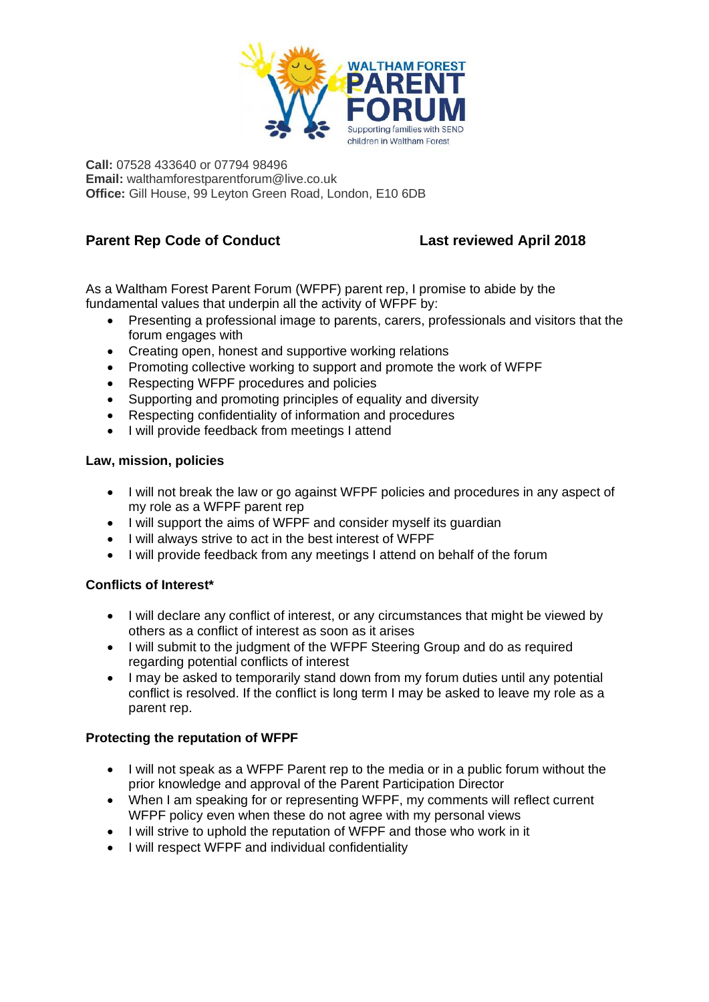

**Call:** 07528 433640 or 07794 98496 **Email:** walthamforestparentforum@live.co.uk **Office:** Gill House, 99 Leyton Green Road, London, E10 6DB

# **Parent Rep Code of Conduct Last reviewed April 2018**

As a Waltham Forest Parent Forum (WFPF) parent rep, I promise to abide by the fundamental values that underpin all the activity of WFPF by:

- Presenting a professional image to parents, carers, professionals and visitors that the forum engages with
- Creating open, honest and supportive working relations
- Promoting collective working to support and promote the work of WFPF
- Respecting WFPF procedures and policies
- Supporting and promoting principles of equality and diversity
- Respecting confidentiality of information and procedures
- I will provide feedback from meetings I attend

### **Law, mission, policies**

- I will not break the law or go against WFPF policies and procedures in any aspect of my role as a WFPF parent rep
- I will support the aims of WFPF and consider myself its guardian
- I will always strive to act in the best interest of WFPF
- I will provide feedback from any meetings I attend on behalf of the forum

### **Conflicts of Interest\***

- I will declare any conflict of interest, or any circumstances that might be viewed by others as a conflict of interest as soon as it arises
- I will submit to the judgment of the WFPF Steering Group and do as required regarding potential conflicts of interest
- I may be asked to temporarily stand down from my forum duties until any potential conflict is resolved. If the conflict is long term I may be asked to leave my role as a parent rep.

### **Protecting the reputation of WFPF**

- I will not speak as a WFPF Parent rep to the media or in a public forum without the prior knowledge and approval of the Parent Participation Director
- When I am speaking for or representing WFPF, my comments will reflect current WFPF policy even when these do not agree with my personal views
- I will strive to uphold the reputation of WFPF and those who work in it
- I will respect WFPF and individual confidentiality